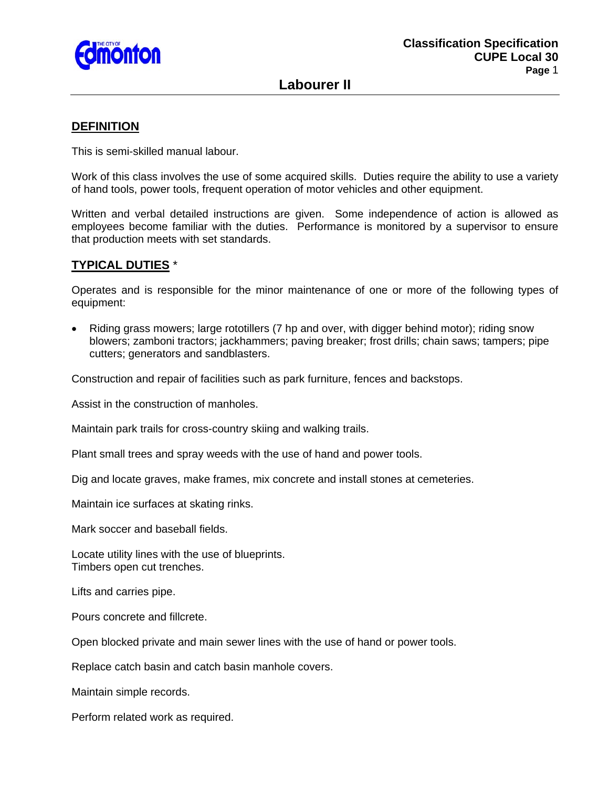

# **Labourer II**

## **DEFINITION**

This is semi-skilled manual labour.

Work of this class involves the use of some acquired skills. Duties require the ability to use a variety of hand tools, power tools, frequent operation of motor vehicles and other equipment.

Written and verbal detailed instructions are given. Some independence of action is allowed as employees become familiar with the duties. Performance is monitored by a supervisor to ensure that production meets with set standards.

## **TYPICAL DUTIES** \*

Operates and is responsible for the minor maintenance of one or more of the following types of equipment:

 Riding grass mowers; large rototillers (7 hp and over, with digger behind motor); riding snow blowers; zamboni tractors; jackhammers; paving breaker; frost drills; chain saws; tampers; pipe cutters; generators and sandblasters.

Construction and repair of facilities such as park furniture, fences and backstops.

Assist in the construction of manholes.

Maintain park trails for cross-country skiing and walking trails.

Plant small trees and spray weeds with the use of hand and power tools.

Dig and locate graves, make frames, mix concrete and install stones at cemeteries.

Maintain ice surfaces at skating rinks.

Mark soccer and baseball fields.

Locate utility lines with the use of blueprints. Timbers open cut trenches.

Lifts and carries pipe.

Pours concrete and fillcrete.

Open blocked private and main sewer lines with the use of hand or power tools.

Replace catch basin and catch basin manhole covers.

Maintain simple records.

Perform related work as required.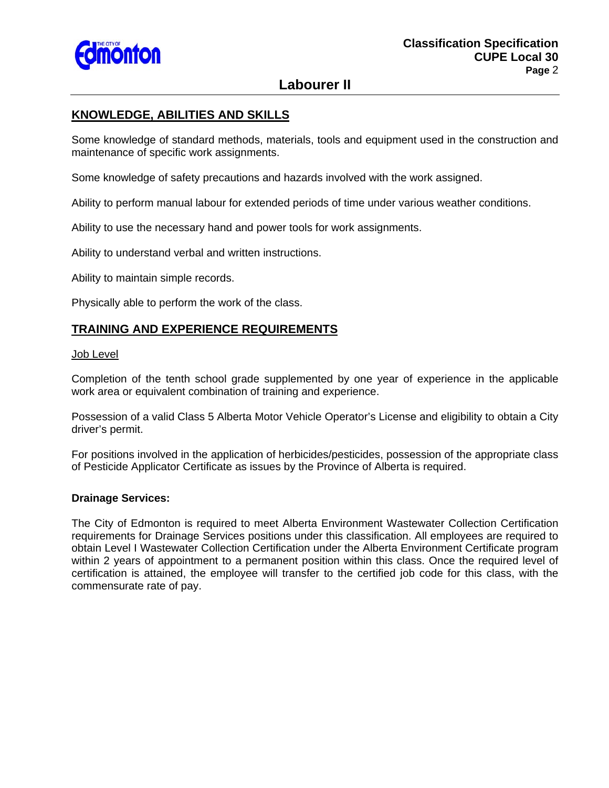

# **Labourer II**

## **KNOWLEDGE, ABILITIES AND SKILLS**

Some knowledge of standard methods, materials, tools and equipment used in the construction and maintenance of specific work assignments.

Some knowledge of safety precautions and hazards involved with the work assigned.

Ability to perform manual labour for extended periods of time under various weather conditions.

Ability to use the necessary hand and power tools for work assignments.

Ability to understand verbal and written instructions.

Ability to maintain simple records.

Physically able to perform the work of the class.

## **TRAINING AND EXPERIENCE REQUIREMENTS**

### Job Level

Completion of the tenth school grade supplemented by one year of experience in the applicable work area or equivalent combination of training and experience.

Possession of a valid Class 5 Alberta Motor Vehicle Operator's License and eligibility to obtain a City driver's permit.

For positions involved in the application of herbicides/pesticides, possession of the appropriate class of Pesticide Applicator Certificate as issues by the Province of Alberta is required.

### **Drainage Services:**

The City of Edmonton is required to meet Alberta Environment Wastewater Collection Certification requirements for Drainage Services positions under this classification. All employees are required to obtain Level I Wastewater Collection Certification under the Alberta Environment Certificate program within 2 years of appointment to a permanent position within this class. Once the required level of certification is attained, the employee will transfer to the certified job code for this class, with the commensurate rate of pay.